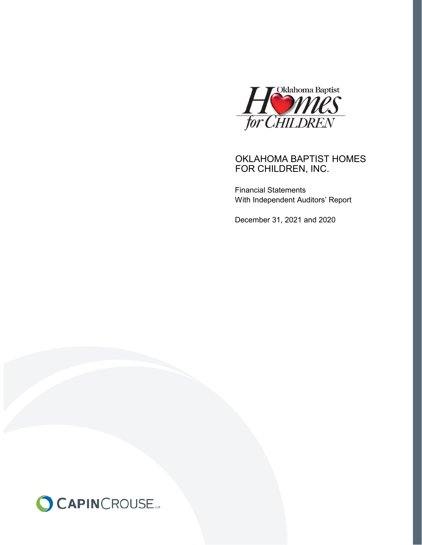

Financial Statements With Independent Auditors' Report

December 31, 2021 and 2020

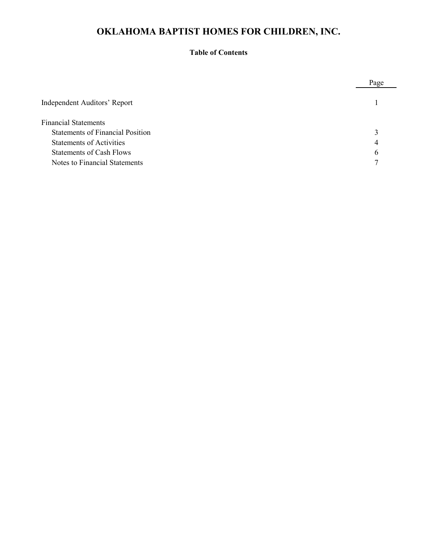### **Table of Contents**

| Page                     |
|--------------------------|
|                          |
|                          |
| 3                        |
| 4                        |
| 6                        |
| $\overline{\phantom{a}}$ |
|                          |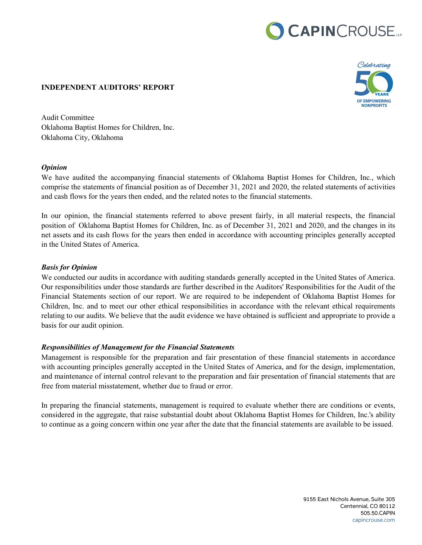# CAPINCROUSE.

#### **INDEPENDENT AUDITORS' REPORT**



Audit Committee Oklahoma Baptist Homes for Children, Inc. Oklahoma City, Oklahoma

#### *Opinion*

We have audited the accompanying financial statements of Oklahoma Baptist Homes for Children, Inc., which comprise the statements of financial position as of December 31, 2021 and 2020, the related statements of activities and cash flows for the years then ended, and the related notes to the financial statements.

In our opinion, the financial statements referred to above present fairly, in all material respects, the financial position of Oklahoma Baptist Homes for Children, Inc. as of December 31, 2021 and 2020, and the changes in its net assets and its cash flows for the years then ended in accordance with accounting principles generally accepted in the United States of America.

#### *Basis for Opinion*

We conducted our audits in accordance with auditing standards generally accepted in the United States of America. Our responsibilities under those standards are further described in the Auditors' Responsibilities for the Audit of the Financial Statements section of our report. We are required to be independent of Oklahoma Baptist Homes for Children, Inc. and to meet our other ethical responsibilities in accordance with the relevant ethical requirements relating to our audits. We believe that the audit evidence we have obtained is sufficient and appropriate to provide a basis for our audit opinion.

#### *Responsibilities of Management for the Financial Statements*

Management is responsible for the preparation and fair presentation of these financial statements in accordance with accounting principles generally accepted in the United States of America, and for the design, implementation, and maintenance of internal control relevant to the preparation and fair presentation of financial statements that are free from material misstatement, whether due to fraud or error.

In preparing the financial statements, management is required to evaluate whether there are conditions or events, considered in the aggregate, that raise substantial doubt about Oklahoma Baptist Homes for Children, Inc.'s ability to continue as a going concern within one year after the date that the financial statements are available to be issued.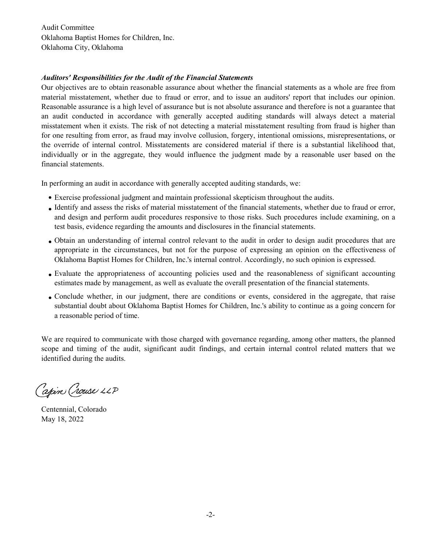Audit Committee Oklahoma Baptist Homes for Children, Inc. Oklahoma City, Oklahoma

### *Auditors' Responsibilities for the Audit of the Financial Statements*

Our objectives are to obtain reasonable assurance about whether the financial statements as a whole are free from material misstatement, whether due to fraud or error, and to issue an auditors' report that includes our opinion. Reasonable assurance is a high level of assurance but is not absolute assurance and therefore is not a guarantee that an audit conducted in accordance with generally accepted auditing standards will always detect a material misstatement when it exists. The risk of not detecting a material misstatement resulting from fraud is higher than for one resulting from error, as fraud may involve collusion, forgery, intentional omissions, misrepresentations, or the override of internal control. Misstatements are considered material if there is a substantial likelihood that, individually or in the aggregate, they would influence the judgment made by a reasonable user based on the financial statements.

In performing an audit in accordance with generally accepted auditing standards, we:

- Exercise professional judgment and maintain professional skepticism throughout the audits.
- Identify and assess the risks of material misstatement of the financial statements, whether due to fraud or error, and design and perform audit procedures responsive to those risks. Such procedures include examining, on a test basis, evidence regarding the amounts and disclosures in the financial statements.
- Obtain an understanding of internal control relevant to the audit in order to design audit procedures that are appropriate in the circumstances, but not for the purpose of expressing an opinion on the effectiveness of Oklahoma Baptist Homes for Children, Inc.'s internal control. Accordingly, no such opinion is expressed.
- Evaluate the appropriateness of accounting policies used and the reasonableness of significant accounting estimates made by management, as well as evaluate the overall presentation of the financial statements.
- Conclude whether, in our judgment, there are conditions or events, considered in the aggregate, that raise substantial doubt about Oklahoma Baptist Homes for Children, Inc.'s ability to continue as a going concern for a reasonable period of time.

We are required to communicate with those charged with governance regarding, among other matters, the planned scope and timing of the audit, significant audit findings, and certain internal control related matters that we identified during the audits.

Capin Crouse LLP

Centennial, Colorado May 18, 2022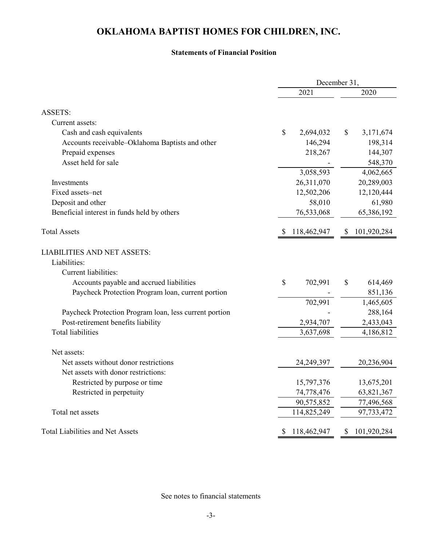### **Statements of Financial Position**

|                                                        | December 31, |             |    |             |  |
|--------------------------------------------------------|--------------|-------------|----|-------------|--|
|                                                        |              | 2021        |    | 2020        |  |
| <b>ASSETS:</b>                                         |              |             |    |             |  |
| Current assets:                                        |              |             |    |             |  |
| Cash and cash equivalents                              | \$           | 2,694,032   | \$ | 3,171,674   |  |
| Accounts receivable-Oklahoma Baptists and other        |              | 146,294     |    | 198,314     |  |
| Prepaid expenses                                       |              | 218,267     |    | 144,307     |  |
| Asset held for sale                                    |              |             |    | 548,370     |  |
|                                                        |              | 3,058,593   |    | 4,062,665   |  |
| Investments                                            |              | 26,311,070  |    | 20,289,003  |  |
| Fixed assets-net                                       |              | 12,502,206  |    | 12,120,444  |  |
| Deposit and other                                      |              | 58,010      |    | 61,980      |  |
| Beneficial interest in funds held by others            |              | 76,533,068  |    | 65,386,192  |  |
| <b>Total Assets</b>                                    |              | 118,462,947 |    | 101,920,284 |  |
| <b>LIABILITIES AND NET ASSETS:</b>                     |              |             |    |             |  |
| Liabilities:                                           |              |             |    |             |  |
| Current liabilities:                                   |              |             |    |             |  |
| Accounts payable and accrued liabilities               | \$           | 702,991     | \$ | 614,469     |  |
| Paycheck Protection Program loan, current portion      |              |             |    | 851,136     |  |
|                                                        |              | 702,991     |    | 1,465,605   |  |
| Paycheck Protection Program loan, less current portion |              |             |    | 288,164     |  |
| Post-retirement benefits liability                     |              | 2,934,707   |    | 2,433,043   |  |
| <b>Total liabilities</b>                               |              | 3,637,698   |    | 4,186,812   |  |
| Net assets:                                            |              |             |    |             |  |
| Net assets without donor restrictions                  |              | 24,249,397  |    | 20,236,904  |  |
| Net assets with donor restrictions:                    |              |             |    |             |  |
| Restricted by purpose or time                          |              | 15,797,376  |    | 13,675,201  |  |
| Restricted in perpetuity                               |              | 74,778,476  |    | 63,821,367  |  |
|                                                        |              | 90,575,852  |    | 77,496,568  |  |
| Total net assets                                       |              | 114,825,249 |    | 97,733,472  |  |
| <b>Total Liabilities and Net Assets</b>                |              | 118,462,947 | S  | 101,920,284 |  |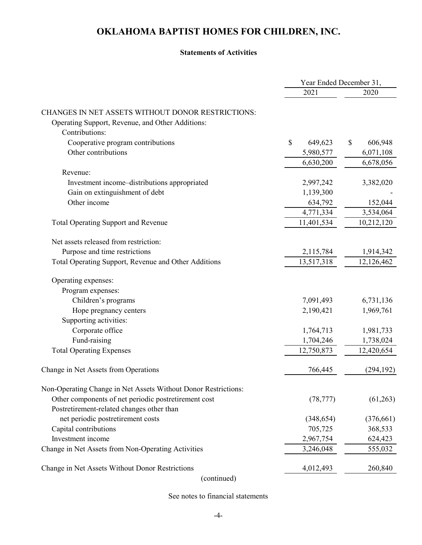### **Statements of Activities**

|                                                                | Year Ended December 31, |               |  |  |
|----------------------------------------------------------------|-------------------------|---------------|--|--|
|                                                                | 2021                    | 2020          |  |  |
| CHANGES IN NET ASSETS WITHOUT DONOR RESTRICTIONS:              |                         |               |  |  |
| Operating Support, Revenue, and Other Additions:               |                         |               |  |  |
| Contributions:                                                 |                         |               |  |  |
| Cooperative program contributions                              | \$<br>649,623           | \$<br>606,948 |  |  |
| Other contributions                                            | 5,980,577               | 6,071,108     |  |  |
|                                                                | 6,630,200               | 6,678,056     |  |  |
| Revenue:                                                       |                         |               |  |  |
| Investment income-distributions appropriated                   | 2,997,242               | 3,382,020     |  |  |
| Gain on extinguishment of debt                                 | 1,139,300               |               |  |  |
| Other income                                                   | 634,792                 | 152,044       |  |  |
|                                                                | 4,771,334               | 3,534,064     |  |  |
| <b>Total Operating Support and Revenue</b>                     | 11,401,534              | 10,212,120    |  |  |
| Net assets released from restriction:                          |                         |               |  |  |
| Purpose and time restrictions                                  | 2,115,784               | 1,914,342     |  |  |
| Total Operating Support, Revenue and Other Additions           | 13,517,318              | 12,126,462    |  |  |
| Operating expenses:                                            |                         |               |  |  |
| Program expenses:                                              |                         |               |  |  |
| Children's programs                                            | 7,091,493               | 6,731,136     |  |  |
| Hope pregnancy centers                                         | 2,190,421               | 1,969,761     |  |  |
| Supporting activities:                                         |                         |               |  |  |
| Corporate office                                               | 1,764,713               | 1,981,733     |  |  |
| Fund-raising                                                   | 1,704,246               | 1,738,024     |  |  |
| <b>Total Operating Expenses</b>                                | 12,750,873              | 12,420,654    |  |  |
| Change in Net Assets from Operations                           | 766,445                 | (294, 192)    |  |  |
| Non-Operating Change in Net Assets Without Donor Restrictions: |                         |               |  |  |
| Other components of net periodic postretirement cost           | (78, 777)               | (61,263)      |  |  |
| Postretirement-related changes other than                      |                         |               |  |  |
| net periodic postretirement costs                              | (348, 654)              | (376,661)     |  |  |
| Capital contributions                                          | 705,725                 | 368,533       |  |  |
| Investment income                                              | 2,967,754               | 624,423       |  |  |
| Change in Net Assets from Non-Operating Activities             | 3,246,048               | 555,032       |  |  |
| Change in Net Assets Without Donor Restrictions                | 4,012,493               | 260,840       |  |  |
|                                                                |                         |               |  |  |

(continued)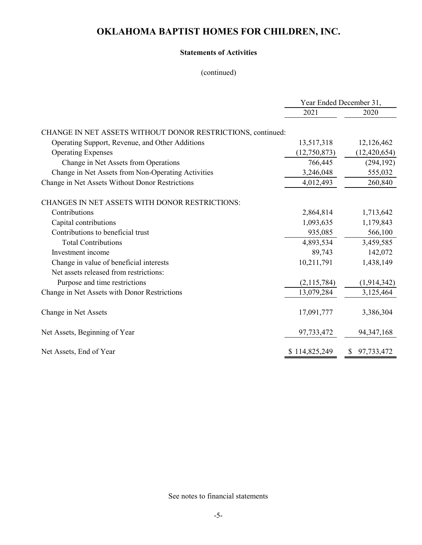### **Statements of Activities**

### (continued)

|                                                             | Year Ended December 31, |                |  |
|-------------------------------------------------------------|-------------------------|----------------|--|
|                                                             | 2021                    | 2020           |  |
| CHANGE IN NET ASSETS WITHOUT DONOR RESTRICTIONS, continued: |                         |                |  |
| Operating Support, Revenue, and Other Additions             | 13,517,318              | 12,126,462     |  |
| <b>Operating Expenses</b>                                   | (12,750,873)            | (12, 420, 654) |  |
| Change in Net Assets from Operations                        | 766,445                 | (294, 192)     |  |
| Change in Net Assets from Non-Operating Activities          | 3,246,048               | 555,032        |  |
| Change in Net Assets Without Donor Restrictions             | 4,012,493               | 260,840        |  |
| CHANGES IN NET ASSETS WITH DONOR RESTRICTIONS:              |                         |                |  |
| Contributions                                               | 2,864,814               | 1,713,642      |  |
| Capital contributions                                       | 1,093,635               | 1,179,843      |  |
| Contributions to beneficial trust                           | 935,085                 | 566,100        |  |
| <b>Total Contributions</b>                                  | 4,893,534               | 3,459,585      |  |
| Investment income                                           | 89,743                  | 142,072        |  |
| Change in value of beneficial interests                     | 10,211,791              | 1,438,149      |  |
| Net assets released from restrictions:                      |                         |                |  |
| Purpose and time restrictions                               | (2,115,784)             | (1,914,342)    |  |
| Change in Net Assets with Donor Restrictions                | 13,079,284              | 3,125,464      |  |
| Change in Net Assets                                        | 17,091,777              | 3,386,304      |  |
| Net Assets, Beginning of Year                               | 97,733,472              | 94, 347, 168   |  |
| Net Assets, End of Year                                     | \$114,825,249           | 97,733,472     |  |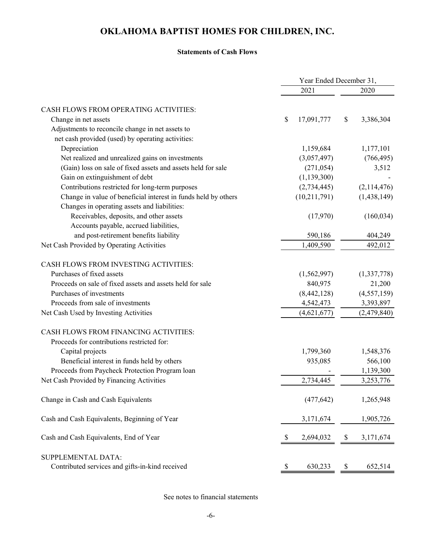### **Statements of Cash Flows**

|                                                                | Year Ended December 31, |               |    |               |  |
|----------------------------------------------------------------|-------------------------|---------------|----|---------------|--|
|                                                                |                         | 2021          |    | 2020          |  |
| CASH FLOWS FROM OPERATING ACTIVITIES:                          |                         |               |    |               |  |
| Change in net assets                                           | \$                      | 17,091,777    | \$ | 3,386,304     |  |
| Adjustments to reconcile change in net assets to               |                         |               |    |               |  |
| net cash provided (used) by operating activities:              |                         |               |    |               |  |
| Depreciation                                                   |                         | 1,159,684     |    | 1,177,101     |  |
| Net realized and unrealized gains on investments               |                         | (3,057,497)   |    | (766, 495)    |  |
| (Gain) loss on sale of fixed assets and assets held for sale   |                         | (271, 054)    |    | 3,512         |  |
| Gain on extinguishment of debt                                 |                         | (1, 139, 300) |    |               |  |
| Contributions restricted for long-term purposes                |                         | (2,734,445)   |    | (2,114,476)   |  |
| Change in value of beneficial interest in funds held by others |                         | (10,211,791)  |    | (1,438,149)   |  |
| Changes in operating assets and liabilities:                   |                         |               |    |               |  |
| Receivables, deposits, and other assets                        |                         | (17,970)      |    | (160, 034)    |  |
| Accounts payable, accrued liabilities,                         |                         |               |    |               |  |
| and post-retirement benefits liability                         |                         | 590,186       |    | 404,249       |  |
| Net Cash Provided by Operating Activities                      |                         | 1,409,590     |    | 492,012       |  |
|                                                                |                         |               |    |               |  |
| CASH FLOWS FROM INVESTING ACTIVITIES:                          |                         |               |    |               |  |
| Purchases of fixed assets                                      |                         | (1,562,997)   |    | (1,337,778)   |  |
| Proceeds on sale of fixed assets and assets held for sale      |                         | 840,975       |    | 21,200        |  |
| Purchases of investments                                       |                         | (8, 442, 128) |    | (4, 557, 159) |  |
| Proceeds from sale of investments                              |                         | 4,542,473     |    | 3,393,897     |  |
| Net Cash Used by Investing Activities                          |                         | (4,621,677)   |    | (2,479,840)   |  |
| CASH FLOWS FROM FINANCING ACTIVITIES:                          |                         |               |    |               |  |
| Proceeds for contributions restricted for:                     |                         |               |    |               |  |
| Capital projects                                               |                         | 1,799,360     |    | 1,548,376     |  |
| Beneficial interest in funds held by others                    |                         | 935,085       |    | 566,100       |  |
| Proceeds from Paycheck Protection Program loan                 |                         |               |    | 1,139,300     |  |
| Net Cash Provided by Financing Activities                      |                         | 2,734,445     |    | 3,253,776     |  |
| Change in Cash and Cash Equivalents                            |                         | (477, 642)    |    | 1,265,948     |  |
| Cash and Cash Equivalents, Beginning of Year                   |                         | 3,171,674     |    | 1,905,726     |  |
| Cash and Cash Equivalents, End of Year                         | \$                      | 2,694,032     | \$ | 3,171,674     |  |
| SUPPLEMENTAL DATA:                                             |                         |               |    |               |  |
| Contributed services and gifts-in-kind received                | \$                      | 630,233       | \$ | 652,514       |  |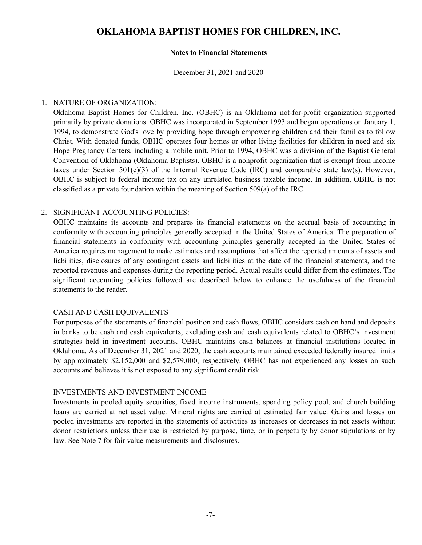### **Notes to Financial Statements**

December 31, 2021 and 2020

### 1. NATURE OF ORGANIZATION:

Oklahoma Baptist Homes for Children, Inc. (OBHC) is an Oklahoma not-for-profit organization supported primarily by private donations. OBHC was incorporated in September 1993 and began operations on January 1, 1994, to demonstrate God's love by providing hope through empowering children and their families to follow Christ. With donated funds, OBHC operates four homes or other living facilities for children in need and six Hope Pregnancy Centers, including a mobile unit. Prior to 1994, OBHC was a division of the Baptist General Convention of Oklahoma (Oklahoma Baptists). OBHC is a nonprofit organization that is exempt from income taxes under Section  $501(c)(3)$  of the Internal Revenue Code (IRC) and comparable state law(s). However, OBHC is subject to federal income tax on any unrelated business taxable income. In addition, OBHC is not classified as a private foundation within the meaning of Section 509(a) of the IRC.

### 2. SIGNIFICANT ACCOUNTING POLICIES:

OBHC maintains its accounts and prepares its financial statements on the accrual basis of accounting in conformity with accounting principles generally accepted in the United States of America. The preparation of financial statements in conformity with accounting principles generally accepted in the United States of America requires management to make estimates and assumptions that affect the reported amounts of assets and liabilities, disclosures of any contingent assets and liabilities at the date of the financial statements, and the reported revenues and expenses during the reporting period. Actual results could differ from the estimates. The significant accounting policies followed are described below to enhance the usefulness of the financial statements to the reader.

#### CASH AND CASH EQUIVALENTS

For purposes of the statements of financial position and cash flows, OBHC considers cash on hand and deposits in banks to be cash and cash equivalents, excluding cash and cash equivalents related to OBHC's investment strategies held in investment accounts. OBHC maintains cash balances at financial institutions located in Oklahoma. As of December 31, 2021 and 2020, the cash accounts maintained exceeded federally insured limits by approximately \$2,152,000 and \$2,579,000, respectively. OBHC has not experienced any losses on such accounts and believes it is not exposed to any significant credit risk.

#### INVESTMENTS AND INVESTMENT INCOME

Investments in pooled equity securities, fixed income instruments, spending policy pool, and church building loans are carried at net asset value. Mineral rights are carried at estimated fair value. Gains and losses on pooled investments are reported in the statements of activities as increases or decreases in net assets without donor restrictions unless their use is restricted by purpose, time, or in perpetuity by donor stipulations or by law. See Note 7 for fair value measurements and disclosures.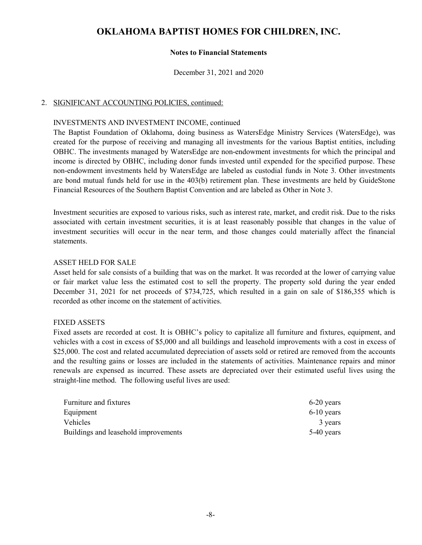### **Notes to Financial Statements**

December 31, 2021 and 2020

### 2. SIGNIFICANT ACCOUNTING POLICIES, continued:

#### INVESTMENTS AND INVESTMENT INCOME, continued

The Baptist Foundation of Oklahoma, doing business as WatersEdge Ministry Services (WatersEdge), was created for the purpose of receiving and managing all investments for the various Baptist entities, including OBHC. The investments managed by WatersEdge are non-endowment investments for which the principal and income is directed by OBHC, including donor funds invested until expended for the specified purpose. These non-endowment investments held by WatersEdge are labeled as custodial funds in Note 3. Other investments are bond mutual funds held for use in the 403(b) retirement plan. These investments are held by GuideStone Financial Resources of the Southern Baptist Convention and are labeled as Other in Note 3.

Investment securities are exposed to various risks, such as interest rate, market, and credit risk. Due to the risks associated with certain investment securities, it is at least reasonably possible that changes in the value of investment securities will occur in the near term, and those changes could materially affect the financial statements.

#### ASSET HELD FOR SALE

Asset held for sale consists of a building that was on the market. It was recorded at the lower of carrying value or fair market value less the estimated cost to sell the property. The property sold during the year ended December 31, 2021 for net proceeds of \$734,725, which resulted in a gain on sale of \$186,355 which is recorded as other income on the statement of activities.

#### FIXED ASSETS

Fixed assets are recorded at cost. It is OBHC's policy to capitalize all furniture and fixtures, equipment, and vehicles with a cost in excess of \$5,000 and all buildings and leasehold improvements with a cost in excess of \$25,000. The cost and related accumulated depreciation of assets sold or retired are removed from the accounts and the resulting gains or losses are included in the statements of activities. Maintenance repairs and minor renewals are expensed as incurred. These assets are depreciated over their estimated useful lives using the straight-line method. The following useful lives are used:

| Furniture and fixtures               | 6-20 years   |
|--------------------------------------|--------------|
| Equipment                            | $6-10$ years |
| <b>Vehicles</b>                      | 3 years      |
| Buildings and leasehold improvements | $5-40$ years |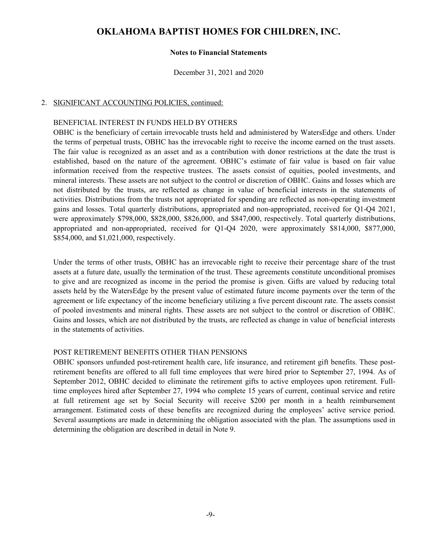### **Notes to Financial Statements**

December 31, 2021 and 2020

### 2. SIGNIFICANT ACCOUNTING POLICIES, continued:

### BENEFICIAL INTEREST IN FUNDS HELD BY OTHERS

OBHC is the beneficiary of certain irrevocable trusts held and administered by WatersEdge and others. Under the terms of perpetual trusts, OBHC has the irrevocable right to receive the income earned on the trust assets. The fair value is recognized as an asset and as a contribution with donor restrictions at the date the trust is established, based on the nature of the agreement. OBHC's estimate of fair value is based on fair value information received from the respective trustees. The assets consist of equities, pooled investments, and mineral interests. These assets are not subject to the control or discretion of OBHC. Gains and losses which are not distributed by the trusts, are reflected as change in value of beneficial interests in the statements of activities. Distributions from the trusts not appropriated for spending are reflected as non-operating investment gains and losses. Total quarterly distributions, appropriated and non-appropriated, received for Q1-Q4 2021, were approximately \$798,000, \$828,000, \$826,000, and \$847,000, respectively. Total quarterly distributions, appropriated and non-appropriated, received for Q1-Q4 2020, were approximately \$814,000, \$877,000, \$854,000, and \$1,021,000, respectively.

Under the terms of other trusts, OBHC has an irrevocable right to receive their percentage share of the trust assets at a future date, usually the termination of the trust. These agreements constitute unconditional promises to give and are recognized as income in the period the promise is given. Gifts are valued by reducing total assets held by the WatersEdge by the present value of estimated future income payments over the term of the agreement or life expectancy of the income beneficiary utilizing a five percent discount rate. The assets consist of pooled investments and mineral rights. These assets are not subject to the control or discretion of OBHC. Gains and losses, which are not distributed by the trusts, are reflected as change in value of beneficial interests in the statements of activities.

### POST RETIREMENT BENEFITS OTHER THAN PENSIONS

OBHC sponsors unfunded post-retirement health care, life insurance, and retirement gift benefits. These postretirement benefits are offered to all full time employees that were hired prior to September 27, 1994. As of September 2012, OBHC decided to eliminate the retirement gifts to active employees upon retirement. Fulltime employees hired after September 27, 1994 who complete 15 years of current, continual service and retire at full retirement age set by Social Security will receive \$200 per month in a health reimbursement arrangement. Estimated costs of these benefits are recognized during the employees' active service period. Several assumptions are made in determining the obligation associated with the plan. The assumptions used in determining the obligation are described in detail in Note 9.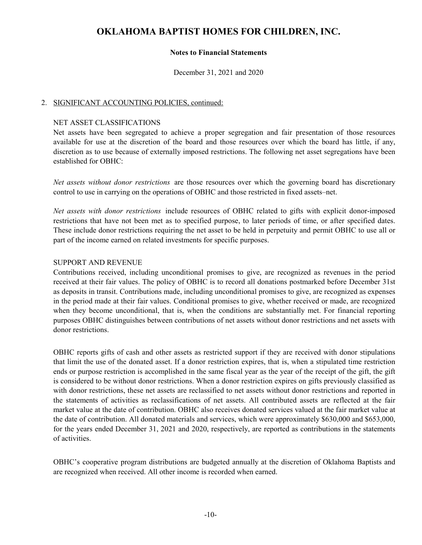### **Notes to Financial Statements**

December 31, 2021 and 2020

### 2. SIGNIFICANT ACCOUNTING POLICIES, continued:

### NET ASSET CLASSIFICATIONS

Net assets have been segregated to achieve a proper segregation and fair presentation of those resources available for use at the discretion of the board and those resources over which the board has little, if any, discretion as to use because of externally imposed restrictions. The following net asset segregations have been established for OBHC:

*Net assets without donor restrictions* are those resources over which the governing board has discretionary control to use in carrying on the operations of OBHC and those restricted in fixed assets–net.

*Net assets with donor restrictions* include resources of OBHC related to gifts with explicit donor-imposed restrictions that have not been met as to specified purpose, to later periods of time, or after specified dates. These include donor restrictions requiring the net asset to be held in perpetuity and permit OBHC to use all or part of the income earned on related investments for specific purposes.

### SUPPORT AND REVENUE

Contributions received, including unconditional promises to give, are recognized as revenues in the period received at their fair values. The policy of OBHC is to record all donations postmarked before December 31st as deposits in transit. Contributions made, including unconditional promises to give, are recognized as expenses in the period made at their fair values. Conditional promises to give, whether received or made, are recognized when they become unconditional, that is, when the conditions are substantially met. For financial reporting purposes OBHC distinguishes between contributions of net assets without donor restrictions and net assets with donor restrictions.

OBHC reports gifts of cash and other assets as restricted support if they are received with donor stipulations that limit the use of the donated asset. If a donor restriction expires, that is, when a stipulated time restriction ends or purpose restriction is accomplished in the same fiscal year as the year of the receipt of the gift, the gift is considered to be without donor restrictions. When a donor restriction expires on gifts previously classified as with donor restrictions, these net assets are reclassified to net assets without donor restrictions and reported in the statements of activities as reclassifications of net assets. All contributed assets are reflected at the fair market value at the date of contribution. OBHC also receives donated services valued at the fair market value at the date of contribution. All donated materials and services, which were approximately \$630,000 and \$653,000, for the years ended December 31, 2021 and 2020, respectively, are reported as contributions in the statements of activities.

OBHC's cooperative program distributions are budgeted annually at the discretion of Oklahoma Baptists and are recognized when received. All other income is recorded when earned.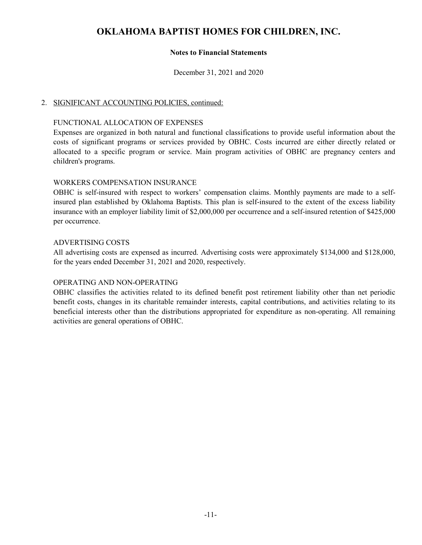### **Notes to Financial Statements**

December 31, 2021 and 2020

### 2. SIGNIFICANT ACCOUNTING POLICIES, continued:

### FUNCTIONAL ALLOCATION OF EXPENSES

Expenses are organized in both natural and functional classifications to provide useful information about the costs of significant programs or services provided by OBHC. Costs incurred are either directly related or allocated to a specific program or service. Main program activities of OBHC are pregnancy centers and children's programs.

### WORKERS COMPENSATION INSURANCE

OBHC is self-insured with respect to workers' compensation claims. Monthly payments are made to a selfinsured plan established by Oklahoma Baptists. This plan is self-insured to the extent of the excess liability insurance with an employer liability limit of \$2,000,000 per occurrence and a self-insured retention of \$425,000 per occurrence.

#### ADVERTISING COSTS

All advertising costs are expensed as incurred. Advertising costs were approximately \$134,000 and \$128,000, for the years ended December 31, 2021 and 2020, respectively.

### OPERATING AND NON-OPERATING

OBHC classifies the activities related to its defined benefit post retirement liability other than net periodic benefit costs, changes in its charitable remainder interests, capital contributions, and activities relating to its beneficial interests other than the distributions appropriated for expenditure as non-operating. All remaining activities are general operations of OBHC.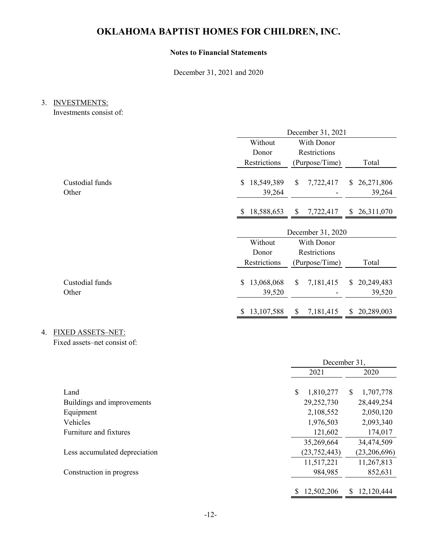### **Notes to Financial Statements**

December 31, 2021 and 2020

### 3. INVESTMENTS:

Investments consist of:

|                          | December 31, 2021     |                      |                |                   |              |                      |
|--------------------------|-----------------------|----------------------|----------------|-------------------|--------------|----------------------|
|                          | Without               |                      |                | With Donor        |              |                      |
|                          | Donor                 |                      | Restrictions   |                   |              |                      |
|                          | Restrictions          |                      | (Purpose/Time) |                   |              | Total                |
| Custodial funds<br>Other | \$                    | 18,549,389<br>39,264 | $\mathcal{S}$  | 7,722,417         | <sup>S</sup> | 26,271,806<br>39,264 |
|                          |                       | 18,588,653           | \$             | 7,722,417         |              | \$26,311,070         |
|                          |                       |                      |                | December 31, 2020 |              |                      |
|                          | Without<br>With Donor |                      |                |                   |              |                      |
|                          | Donor                 |                      |                | Restrictions      |              |                      |
|                          | Restrictions          |                      | (Purpose/Time) |                   |              | Total                |
|                          |                       |                      |                |                   |              |                      |
| Custodial funds          | \$                    | 13,068,068           | \$             | 7,181,415         | \$           | 20,249,483           |
| Other                    |                       | 39,520               |                |                   |              | 39,520               |
|                          | \$                    | 13, 107, 588         | \$             | 7,181,415         | $\mathbb{S}$ | 20,289,003           |

### 4. FIXED ASSETS–NET:

Fixed assets–net consist of:

|                               |                  | December 31,     |  |  |  |  |
|-------------------------------|------------------|------------------|--|--|--|--|
|                               | 2021             | 2020             |  |  |  |  |
| Land                          | \$<br>1,810,277  | \$<br>1,707,778  |  |  |  |  |
| Buildings and improvements    | 29,252,730       | 28,449,254       |  |  |  |  |
| Equipment                     | 2,108,552        | 2,050,120        |  |  |  |  |
| Vehicles                      | 1,976,503        | 2,093,340        |  |  |  |  |
| Furniture and fixtures        | 121,602          | 174,017          |  |  |  |  |
|                               | 35,269,664       | 34,474,509       |  |  |  |  |
| Less accumulated depreciation | (23, 752, 443)   | (23,206,696)     |  |  |  |  |
|                               | 11,517,221       | 11,267,813       |  |  |  |  |
| Construction in progress      | 984,985          | 852,631          |  |  |  |  |
|                               | 12,502,206<br>\$ | 12,120,444<br>\$ |  |  |  |  |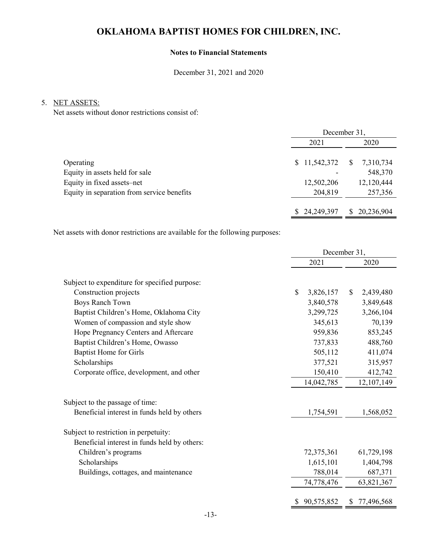### **Notes to Financial Statements**

December 31, 2021 and 2020

### 5. NET ASSETS:

Net assets without donor restrictions consist of:

|                                            |              | December 31,              |  |  |  |
|--------------------------------------------|--------------|---------------------------|--|--|--|
|                                            | 2021         | 2020                      |  |  |  |
| Operating                                  | \$11,542,372 | 7,310,734<br><sup>S</sup> |  |  |  |
| Equity in assets held for sale             |              | 548,370                   |  |  |  |
| Equity in fixed assets-net                 | 12,502,206   | 12,120,444                |  |  |  |
| Equity in separation from service benefits | 204,819      | 257,356                   |  |  |  |
|                                            | \$24,249,397 | 20,236,904                |  |  |  |

Net assets with donor restrictions are available for the following purposes:

|                                               | December 31,    |                           |  |  |
|-----------------------------------------------|-----------------|---------------------------|--|--|
|                                               | 2021            | 2020                      |  |  |
| Subject to expenditure for specified purpose: |                 |                           |  |  |
| Construction projects                         | \$<br>3,826,157 | $\mathbb{S}$<br>2,439,480 |  |  |
| <b>Boys Ranch Town</b>                        | 3,840,578       | 3,849,648                 |  |  |
| Baptist Children's Home, Oklahoma City        | 3,299,725       | 3,266,104                 |  |  |
| Women of compassion and style show            | 345,613         | 70,139                    |  |  |
| Hope Pregnancy Centers and Aftercare          | 959,836         | 853,245                   |  |  |
| Baptist Children's Home, Owasso               | 737,833         | 488,760                   |  |  |
| <b>Baptist Home for Girls</b>                 | 505,112         | 411,074                   |  |  |
| Scholarships                                  | 377,521         | 315,957                   |  |  |
| Corporate office, development, and other      | 150,410         | 412,742                   |  |  |
|                                               | 14,042,785      | 12,107,149                |  |  |
| Subject to the passage of time:               |                 |                           |  |  |
| Beneficial interest in funds held by others   | 1,754,591       | 1,568,052                 |  |  |
| Subject to restriction in perpetuity:         |                 |                           |  |  |
| Beneficial interest in funds held by others:  |                 |                           |  |  |
| Children's programs                           | 72,375,361      | 61,729,198                |  |  |
| Scholarships                                  | 1,615,101       | 1,404,798                 |  |  |
| Buildings, cottages, and maintenance          | 788,014         | 687,371                   |  |  |
|                                               | 74,778,476      | 63,821,367                |  |  |
|                                               | \$90,575,852    | \$77,496,568              |  |  |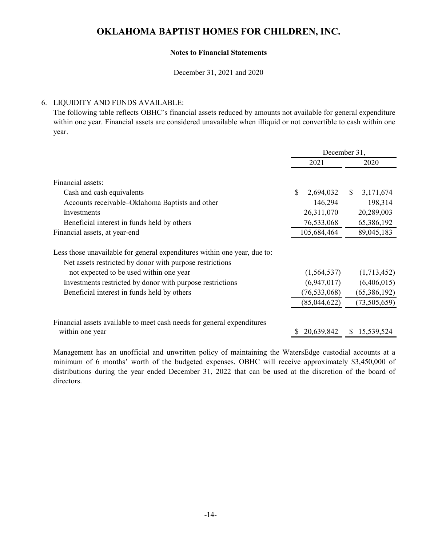### **Notes to Financial Statements**

December 31, 2021 and 2020

### 6. LIQUIDITY AND FUNDS AVAILABLE:

The following table reflects OBHC's financial assets reduced by amounts not available for general expenditure within one year. Financial assets are considered unavailable when illiquid or not convertible to cash within one year.

|                                                                                                                                      | December 31,   |                            |  |
|--------------------------------------------------------------------------------------------------------------------------------------|----------------|----------------------------|--|
|                                                                                                                                      | 2021           | 2020                       |  |
| Financial assets:                                                                                                                    |                |                            |  |
| Cash and cash equivalents                                                                                                            | 2,694,032      | 3,171,674<br><sup>S</sup>  |  |
| Accounts receivable–Oklahoma Baptists and other                                                                                      | 146,294        | 198,314                    |  |
| Investments                                                                                                                          | 26,311,070     | 20,289,003                 |  |
| Beneficial interest in funds held by others                                                                                          | 76,533,068     | 65,386,192                 |  |
| Financial assets, at year-end                                                                                                        | 105,684,464    | 89,045,183                 |  |
| Less those unavailable for general expenditures within one year, due to:<br>Net assets restricted by donor with purpose restrictions |                |                            |  |
| not expected to be used within one year                                                                                              | (1, 564, 537)  | (1,713,452)                |  |
| Investments restricted by donor with purpose restrictions                                                                            | (6,947,017)    | (6,406,015)                |  |
| Beneficial interest in funds held by others                                                                                          | (76, 533, 068) | (65,386,192)               |  |
|                                                                                                                                      | (85,044,622)   | (73, 505, 659)             |  |
| Financial assets available to meet cash needs for general expenditures                                                               |                |                            |  |
| within one year                                                                                                                      | 20,639,842     | 15,539,524<br><sup>S</sup> |  |

Management has an unofficial and unwritten policy of maintaining the WatersEdge custodial accounts at a minimum of 6 months' worth of the budgeted expenses. OBHC will receive approximately \$3,450,000 of distributions during the year ended December 31, 2022 that can be used at the discretion of the board of directors.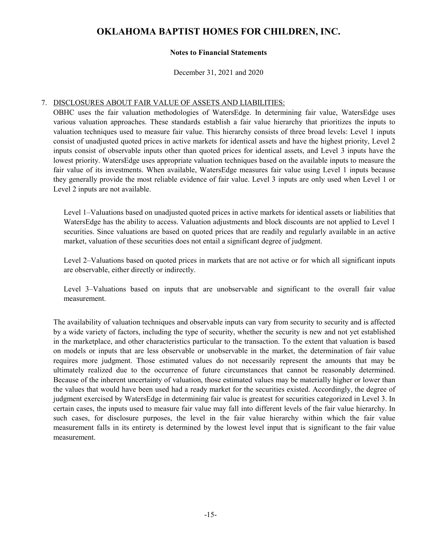### **Notes to Financial Statements**

#### December 31, 2021 and 2020

### 7. DISCLOSURES ABOUT FAIR VALUE OF ASSETS AND LIABILITIES:

OBHC uses the fair valuation methodologies of WatersEdge. In determining fair value, WatersEdge uses various valuation approaches. These standards establish a fair value hierarchy that prioritizes the inputs to valuation techniques used to measure fair value. This hierarchy consists of three broad levels: Level 1 inputs consist of unadjusted quoted prices in active markets for identical assets and have the highest priority, Level 2 inputs consist of observable inputs other than quoted prices for identical assets, and Level 3 inputs have the lowest priority. WatersEdge uses appropriate valuation techniques based on the available inputs to measure the fair value of its investments. When available, WatersEdge measures fair value using Level 1 inputs because they generally provide the most reliable evidence of fair value. Level 3 inputs are only used when Level 1 or Level 2 inputs are not available.

Level 1–Valuations based on unadjusted quoted prices in active markets for identical assets or liabilities that WatersEdge has the ability to access. Valuation adjustments and block discounts are not applied to Level 1 securities. Since valuations are based on quoted prices that are readily and regularly available in an active market, valuation of these securities does not entail a significant degree of judgment.

Level 2–Valuations based on quoted prices in markets that are not active or for which all significant inputs are observable, either directly or indirectly.

Level 3–Valuations based on inputs that are unobservable and significant to the overall fair value measurement.

The availability of valuation techniques and observable inputs can vary from security to security and is affected by a wide variety of factors, including the type of security, whether the security is new and not yet established in the marketplace, and other characteristics particular to the transaction. To the extent that valuation is based on models or inputs that are less observable or unobservable in the market, the determination of fair value requires more judgment. Those estimated values do not necessarily represent the amounts that may be ultimately realized due to the occurrence of future circumstances that cannot be reasonably determined. Because of the inherent uncertainty of valuation, those estimated values may be materially higher or lower than the values that would have been used had a ready market for the securities existed. Accordingly, the degree of judgment exercised by WatersEdge in determining fair value is greatest for securities categorized in Level 3. In certain cases, the inputs used to measure fair value may fall into different levels of the fair value hierarchy. In such cases, for disclosure purposes, the level in the fair value hierarchy within which the fair value measurement falls in its entirety is determined by the lowest level input that is significant to the fair value measurement.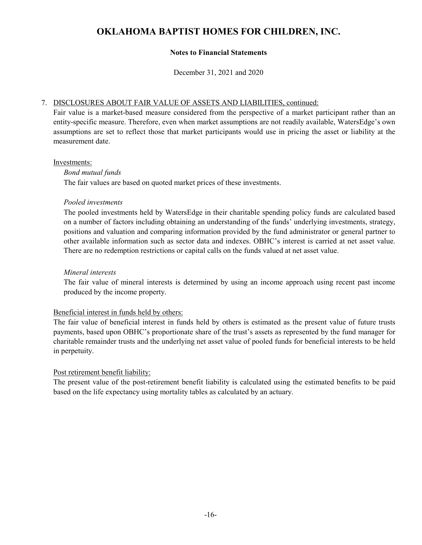### **Notes to Financial Statements**

December 31, 2021 and 2020

### 7. DISCLOSURES ABOUT FAIR VALUE OF ASSETS AND LIABILITIES, continued:

Fair value is a market-based measure considered from the perspective of a market participant rather than an entity-specific measure. Therefore, even when market assumptions are not readily available, WatersEdge's own assumptions are set to reflect those that market participants would use in pricing the asset or liability at the measurement date.

#### Investments:

### *Bond mutual funds*

The fair values are based on quoted market prices of these investments.

### *Pooled investments*

The pooled investments held by WatersEdge in their charitable spending policy funds are calculated based on a number of factors including obtaining an understanding of the funds' underlying investments, strategy, positions and valuation and comparing information provided by the fund administrator or general partner to other available information such as sector data and indexes. OBHC's interest is carried at net asset value. There are no redemption restrictions or capital calls on the funds valued at net asset value.

### *Mineral interests*

The fair value of mineral interests is determined by using an income approach using recent past income produced by the income property.

### Beneficial interest in funds held by others:

The fair value of beneficial interest in funds held by others is estimated as the present value of future trusts payments, based upon OBHC's proportionate share of the trust's assets as represented by the fund manager for charitable remainder trusts and the underlying net asset value of pooled funds for beneficial interests to be held in perpetuity.

### Post retirement benefit liability:

The present value of the post-retirement benefit liability is calculated using the estimated benefits to be paid based on the life expectancy using mortality tables as calculated by an actuary.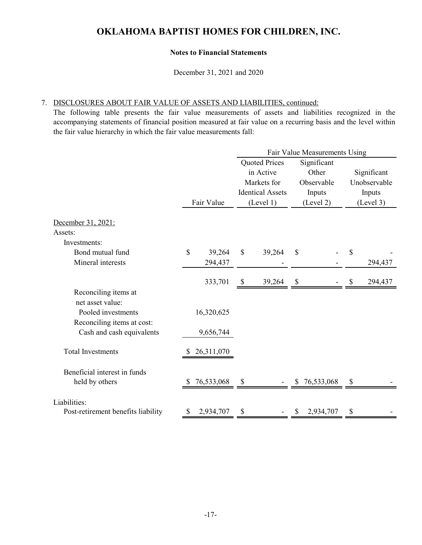### **Notes to Financial Statements**

### December 31, 2021 and 2020

### 7. DISCLOSURES ABOUT FAIR VALUE OF ASSETS AND LIABILITIES, continued:

The following table presents the fair value measurements of assets and liabilities recognized in the accompanying statements of financial position measured at fair value on a recurring basis and the level within the fair value hierarchy in which the fair value measurements fall:

|                                          |    |            | Fair Value Measurements Using |                              |    |            |    |              |
|------------------------------------------|----|------------|-------------------------------|------------------------------|----|------------|----|--------------|
|                                          |    |            |                               | Quoted Prices<br>Significant |    |            |    |              |
|                                          |    |            | in Active                     |                              |    | Other      |    | Significant  |
|                                          |    |            |                               | Markets for                  |    | Observable |    | Unobservable |
|                                          |    |            |                               | <b>Identical Assets</b>      |    | Inputs     |    | Inputs       |
|                                          |    | Fair Value |                               | (Level 1)                    |    | (Level 2)  |    | (Level 3)    |
| December 31, 2021:                       |    |            |                               |                              |    |            |    |              |
| Assets:                                  |    |            |                               |                              |    |            |    |              |
| Investments:                             |    |            |                               |                              |    |            |    |              |
| Bond mutual fund                         | \$ | 39,264     | $\mathbb{S}$                  | 39,264                       | \$ |            | \$ |              |
| Mineral interests                        |    | 294,437    |                               |                              |    |            |    | 294,437      |
|                                          |    | 333,701    |                               |                              |    |            |    | 294,437      |
|                                          |    |            | \$                            | 39,264                       | \$ |            | \$ |              |
| Reconciling items at<br>net asset value: |    |            |                               |                              |    |            |    |              |
| Pooled investments                       |    |            |                               |                              |    |            |    |              |
|                                          |    | 16,320,625 |                               |                              |    |            |    |              |
| Reconciling items at cost:               |    |            |                               |                              |    |            |    |              |
| Cash and cash equivalents                |    | 9,656,744  |                               |                              |    |            |    |              |
| <b>Total Investments</b>                 | \$ | 26,311,070 |                               |                              |    |            |    |              |
|                                          |    |            |                               |                              |    |            |    |              |
| Beneficial interest in funds             |    |            |                               |                              |    |            |    |              |
| held by others                           | S  | 76,533,068 | \$                            |                              | S  | 76,533,068 | \$ |              |
| Liabilities:                             |    |            |                               |                              |    |            |    |              |
| Post-retirement benefits liability       | \$ | 2,934,707  | \$                            |                              | \$ | 2,934,707  | \$ |              |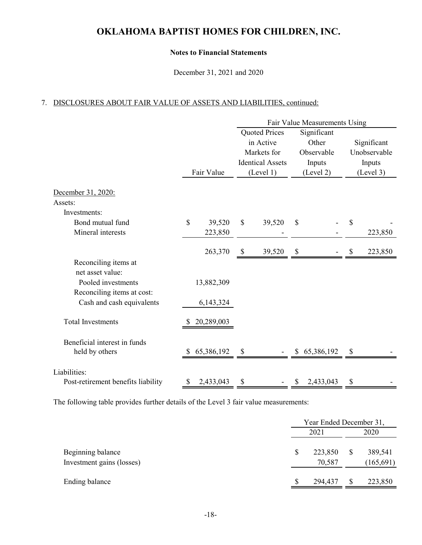### **Notes to Financial Statements**

December 31, 2021 and 2020

### 7. DISCLOSURES ABOUT FAIR VALUE OF ASSETS AND LIABILITIES, continued:

|                                    |                  | Fair Value Measurements Using |                         |    |              |               |              |
|------------------------------------|------------------|-------------------------------|-------------------------|----|--------------|---------------|--------------|
|                                    |                  |                               | <b>Quoted Prices</b>    |    | Significant  |               |              |
|                                    |                  |                               | in Active               |    | Other        |               | Significant  |
|                                    |                  |                               | Markets for             |    | Observable   |               | Unobservable |
|                                    |                  |                               | <b>Identical Assets</b> |    | Inputs       |               | Inputs       |
|                                    | Fair Value       |                               | (Level 1)               |    | (Level 2)    |               | (Level 3)    |
| December 31, 2020:                 |                  |                               |                         |    |              |               |              |
| Assets:                            |                  |                               |                         |    |              |               |              |
| Investments:                       |                  |                               |                         |    |              |               |              |
| Bond mutual fund                   | \$<br>39,520     | $\boldsymbol{\mathsf{S}}$     | 39,520                  | \$ |              | $\mathcal{S}$ |              |
| Mineral interests                  | 223,850          |                               |                         |    |              |               | 223,850      |
|                                    |                  |                               |                         |    |              |               |              |
|                                    | 263,370          | \$                            | 39,520                  | \$ |              | \$            | 223,850      |
| Reconciling items at               |                  |                               |                         |    |              |               |              |
| net asset value:                   |                  |                               |                         |    |              |               |              |
| Pooled investments                 | 13,882,309       |                               |                         |    |              |               |              |
| Reconciling items at cost:         |                  |                               |                         |    |              |               |              |
| Cash and cash equivalents          | 6,143,324        |                               |                         |    |              |               |              |
|                                    |                  |                               |                         |    |              |               |              |
| <b>Total Investments</b>           | 20,289,003       |                               |                         |    |              |               |              |
| Beneficial interest in funds       |                  |                               |                         |    |              |               |              |
| held by others                     | \$<br>65,386,192 | \$                            |                         |    | \$65,386,192 | \$            |              |
|                                    |                  |                               |                         |    |              |               |              |
| Liabilities:                       |                  |                               |                         |    |              |               |              |
| Post-retirement benefits liability | \$<br>2,433,043  | \$                            |                         | \$ | 2,433,043    | \$            |              |

The following table provides further details of the Level 3 fair value measurements:

|                                                | Year Ended December 31, |                   |               |                       |  |
|------------------------------------------------|-------------------------|-------------------|---------------|-----------------------|--|
|                                                | 2021                    |                   | 2020          |                       |  |
| Beginning balance<br>Investment gains (losses) | \$                      | 223,850<br>70,587 | $\mathcal{S}$ | 389,541<br>(165, 691) |  |
| Ending balance                                 | \$                      | 294,437           | -S            | 223,850               |  |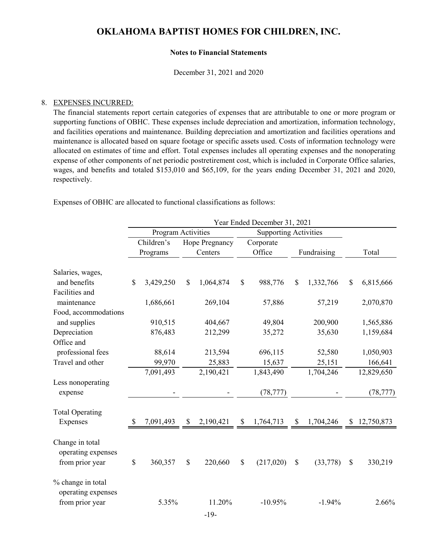### **Notes to Financial Statements**

December 31, 2021 and 2020

#### 8. EXPENSES INCURRED:

The financial statements report certain categories of expenses that are attributable to one or more program or supporting functions of OBHC. These expenses include depreciation and amortization, information technology, and facilities operations and maintenance. Building depreciation and amortization and facilities operations and maintenance is allocated based on square footage or specific assets used. Costs of information technology were allocated on estimates of time and effort. Total expenses includes all operating expenses and the nonoperating expense of other components of net periodic postretirement cost, which is included in Corporate Office salaries, wages, and benefits and totaled \$153,010 and \$65,109, for the years ending December 31, 2021 and 2020, respectively.

Expenses of OBHC are allocated to functional classifications as follows:

|                        | Year Ended December 31, 2021 |            |              |                |                              |           |    |             |    |              |
|------------------------|------------------------------|------------|--------------|----------------|------------------------------|-----------|----|-------------|----|--------------|
|                        | Program Activities           |            |              |                | <b>Supporting Activities</b> |           |    |             |    |              |
|                        |                              | Children's |              | Hope Pregnancy |                              | Corporate |    |             |    |              |
|                        |                              | Programs   |              | Centers        |                              | Office    |    | Fundraising |    | Total        |
|                        |                              |            |              |                |                              |           |    |             |    |              |
| Salaries, wages,       |                              |            |              |                |                              |           |    |             |    |              |
| and benefits           | \$                           | 3,429,250  | $\mathbb{S}$ | 1,064,874      | \$                           | 988,776   | \$ | 1,332,766   | \$ | 6,815,666    |
| Facilities and         |                              |            |              |                |                              |           |    |             |    |              |
| maintenance            |                              | 1,686,661  |              | 269,104        |                              | 57,886    |    | 57,219      |    | 2,070,870    |
| Food, accommodations   |                              |            |              |                |                              |           |    |             |    |              |
| and supplies           |                              | 910,515    |              | 404,667        |                              | 49,804    |    | 200,900     |    | 1,565,886    |
| Depreciation           |                              | 876,483    |              | 212,299        |                              | 35,272    |    | 35,630      |    | 1,159,684    |
| Office and             |                              |            |              |                |                              |           |    |             |    |              |
| professional fees      |                              | 88,614     |              | 213,594        |                              | 696,115   |    | 52,580      |    | 1,050,903    |
| Travel and other       |                              | 99,970     |              | 25,883         |                              | 15,637    |    | 25,151      |    | 166,641      |
|                        |                              | 7,091,493  |              | 2,190,421      |                              | 1,843,490 |    | 1,704,246   |    | 12,829,650   |
| Less nonoperating      |                              |            |              |                |                              |           |    |             |    |              |
| expense                |                              |            |              |                |                              | (78, 777) |    |             |    | (78, 777)    |
|                        |                              |            |              |                |                              |           |    |             |    |              |
| <b>Total Operating</b> |                              |            |              |                |                              |           |    |             |    |              |
| Expenses               |                              | 7,091,493  | $\mathbb{S}$ | 2,190,421      | \$                           | 1,764,713 | \$ | 1,704,246   |    | \$12,750,873 |
|                        |                              |            |              |                |                              |           |    |             |    |              |
| Change in total        |                              |            |              |                |                              |           |    |             |    |              |
| operating expenses     |                              |            |              |                |                              |           |    |             |    |              |
| from prior year        | \$                           | 360,357    | \$           | 220,660        | \$                           | (217,020) | \$ | (33,778)    | \$ | 330,219      |
| % change in total      |                              |            |              |                |                              |           |    |             |    |              |
| operating expenses     |                              |            |              |                |                              |           |    |             |    |              |
| from prior year        |                              | 5.35%      |              | 11.20%         |                              | $-10.95%$ |    | $-1.94%$    |    | 2.66%        |
|                        |                              |            |              |                |                              |           |    |             |    |              |
|                        |                              |            |              | $-19-$         |                              |           |    |             |    |              |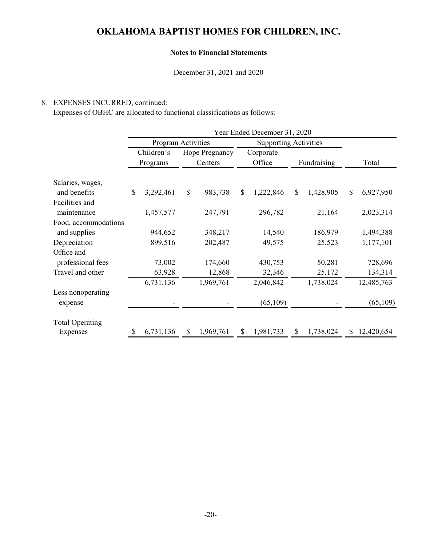### **Notes to Financial Statements**

December 31, 2021 and 2020

### 8. EXPENSES INCURRED, continued:

Expenses of OBHC are allocated to functional classifications as follows:

|                        | Year Ended December 31, 2020 |            |                |           |    |                              |    |             |                  |
|------------------------|------------------------------|------------|----------------|-----------|----|------------------------------|----|-------------|------------------|
|                        | Program Activities           |            |                |           |    | <b>Supporting Activities</b> |    |             |                  |
|                        |                              | Children's | Hope Pregnancy |           |    | Corporate                    |    |             |                  |
|                        |                              | Programs   |                | Centers   |    | Office                       |    | Fundraising | Total            |
| Salaries, wages,       |                              |            |                |           |    |                              |    |             |                  |
| and benefits           | \$                           | 3,292,461  | $\mathbb{S}$   | 983,738   | \$ | 1,222,846                    | \$ | 1,428,905   | \$<br>6,927,950  |
| Facilities and         |                              |            |                |           |    |                              |    |             |                  |
| maintenance            |                              | 1,457,577  |                | 247,791   |    | 296,782                      |    | 21,164      | 2,023,314        |
| Food, accommodations   |                              |            |                |           |    |                              |    |             |                  |
| and supplies           |                              | 944,652    |                | 348,217   |    | 14,540                       |    | 186,979     | 1,494,388        |
| Depreciation           |                              | 899,516    |                | 202,487   |    | 49,575                       |    | 25,523      | 1,177,101        |
| Office and             |                              |            |                |           |    |                              |    |             |                  |
| professional fees      |                              | 73,002     |                | 174,660   |    | 430,753                      |    | 50,281      | 728,696          |
| Travel and other       |                              | 63,928     |                | 12,868    |    | 32,346                       |    | 25,172      | 134,314          |
|                        |                              | 6,731,136  |                | 1,969,761 |    | 2,046,842                    |    | 1,738,024   | 12,485,763       |
| Less nonoperating      |                              |            |                |           |    |                              |    |             |                  |
| expense                |                              |            |                |           |    | (65,109)                     |    |             | (65,109)         |
|                        |                              |            |                |           |    |                              |    |             |                  |
| <b>Total Operating</b> |                              |            |                |           |    |                              |    |             |                  |
| Expenses               |                              | 6,731,136  | \$             | 1,969,761 | S  | 1,981,733                    | \$ | 1,738,024   | \$<br>12,420,654 |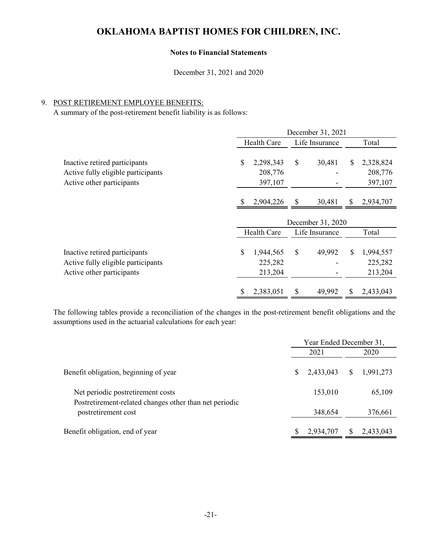### **Notes to Financial Statements**

December 31, 2021 and 2020

### 9. POST RETIREMENT EMPLOYEE BENEFITS:

A summary of the post-retirement benefit liability is as follows:

|                                                                                                  |                                       |               | December 31, 2021 |               |                                 |
|--------------------------------------------------------------------------------------------------|---------------------------------------|---------------|-------------------|---------------|---------------------------------|
|                                                                                                  | Health Care                           |               | Life Insurance    |               | Total                           |
| Inactive retired participants<br>Active fully eligible participants<br>Active other participants | \$<br>2,298,343<br>208,776<br>397,107 | \$            | 30,481            | \$            | 2,328,824<br>208,776<br>397,107 |
|                                                                                                  | 2,904,226                             | \$            | 30,481            | \$            | 2,934,707                       |
|                                                                                                  |                                       |               | December 31, 2020 |               |                                 |
|                                                                                                  | Health Care                           |               | Life Insurance    |               | Total                           |
| Inactive retired participants<br>Active fully eligible participants<br>Active other participants | \$<br>1,944,565<br>225,282<br>213,204 | $\mathcal{S}$ | 49,992            | $\mathcal{S}$ | 1,994,557<br>225,282<br>213,204 |
|                                                                                                  | \$<br>2,383,051                       | \$            | 49,992            | \$            | 2,433,043                       |

The following tables provide a reconciliation of the changes in the post-retirement benefit obligations and the assumptions used in the actuarial calculations for each year:

|                                                                                             | Year Ended December 31, |           |   |           |
|---------------------------------------------------------------------------------------------|-------------------------|-----------|---|-----------|
|                                                                                             |                         | 2021      |   | 2020      |
| Benefit obligation, beginning of year                                                       | \$                      | 2,433,043 | S | 1,991,273 |
| Net periodic postretirement costs<br>Postretirement-related changes other than net periodic |                         | 153,010   |   | 65,109    |
| postretirement cost                                                                         |                         | 348,654   |   | 376,661   |
| Benefit obligation, end of year                                                             |                         | 2,934,707 | S | 2,433,043 |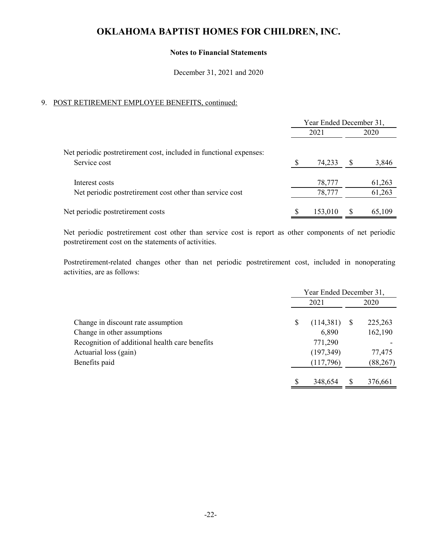### **Notes to Financial Statements**

December 31, 2021 and 2020

### 9. POST RETIREMENT EMPLOYEE BENEFITS, continued:

|                                                                                    |               | Year Ended December 31, |              |                  |
|------------------------------------------------------------------------------------|---------------|-------------------------|--------------|------------------|
|                                                                                    |               | 2021                    | 2020         |                  |
| Net periodic postretirement cost, included in functional expenses:<br>Service cost | <sup>\$</sup> | 74,233                  | <sup>S</sup> | 3,846            |
| Interest costs<br>Net periodic postretirement cost other than service cost         |               | 78,777<br>78,777        |              | 61,263<br>61,263 |
| Net periodic postretirement costs                                                  | S             | 153,010                 |              | 65,109           |

Net periodic postretirement cost other than service cost is report as other components of net periodic postretirement cost on the statements of activities.

Postretirement-related changes other than net periodic postretirement cost, included in nonoperating activities, are as follows:

|                                                |      | Year Ended December 31, |   |           |  |  |
|------------------------------------------------|------|-------------------------|---|-----------|--|--|
|                                                | 2021 |                         |   | 2020      |  |  |
| Change in discount rate assumption             | \$   | (114,381)               | S | 225,263   |  |  |
| Change in other assumptions                    |      | 6,890                   |   | 162,190   |  |  |
| Recognition of additional health care benefits |      | 771,290                 |   |           |  |  |
| Actuarial loss (gain)                          |      | (197,349)               |   | 77,475    |  |  |
| Benefits paid                                  |      | (117,796)               |   | (88, 267) |  |  |
|                                                | \$   | 348,654                 | S | 376,661   |  |  |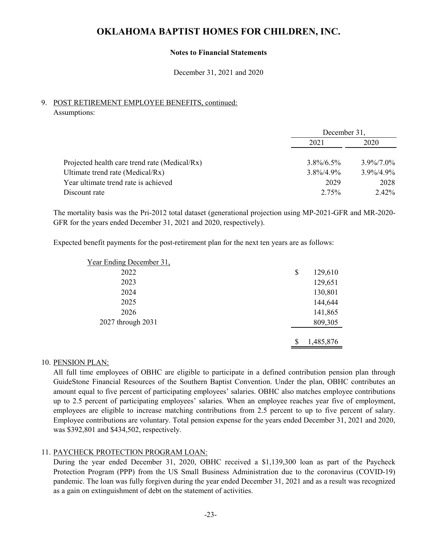### **Notes to Financial Statements**

December 31, 2021 and 2020

### 9. POST RETIREMENT EMPLOYEE BENEFITS, continued: Assumptions:

|                                               | December 31,  |               |
|-----------------------------------------------|---------------|---------------|
|                                               | 2021          | 2020          |
| Projected health care trend rate (Medical/Rx) | $3.8\%/6.5\%$ | $3.9\%/7.0\%$ |
| Ultimate trend rate (Medical/Rx)              | $3.8\%/4.9\%$ | $3.9\%/4.9\%$ |
| Year ultimate trend rate is achieved          | 2029          | 2028          |
| Discount rate                                 | 2.75%         | $2.42\%$      |

The mortality basis was the Pri-2012 total dataset (generational projection using MP-2021-GFR and MR-2020- GFR for the years ended December 31, 2021 and 2020, respectively).

Expected benefit payments for the post-retirement plan for the next ten years are as follows:

| Year Ending December 31, |                 |  |
|--------------------------|-----------------|--|
| 2022                     | \$<br>129,610   |  |
| 2023                     | 129,651         |  |
| 2024                     | 130,801         |  |
| 2025                     | 144,644         |  |
| 2026                     | 141,865         |  |
| 2027 through 2031        | 809,305         |  |
|                          |                 |  |
|                          | 1,485,876<br>\$ |  |

#### 10. PENSION PLAN:

All full time employees of OBHC are eligible to participate in a defined contribution pension plan through GuideStone Financial Resources of the Southern Baptist Convention. Under the plan, OBHC contributes an amount equal to five percent of participating employees' salaries. OBHC also matches employee contributions up to 2.5 percent of participating employees' salaries. When an employee reaches year five of employment, employees are eligible to increase matching contributions from 2.5 percent to up to five percent of salary. Employee contributions are voluntary. Total pension expense for the years ended December 31, 2021 and 2020, was \$392,801 and \$434,502, respectively.

### 11. PAYCHECK PROTECTION PROGRAM LOAN:

During the year ended December 31, 2020, OBHC received a \$1,139,300 loan as part of the Paycheck Protection Program (PPP) from the US Small Business Administration due to the coronavirus (COVID-19) pandemic. The loan was fully forgiven during the year ended December 31, 2021 and as a result was recognized as a gain on extinguishment of debt on the statement of activities.